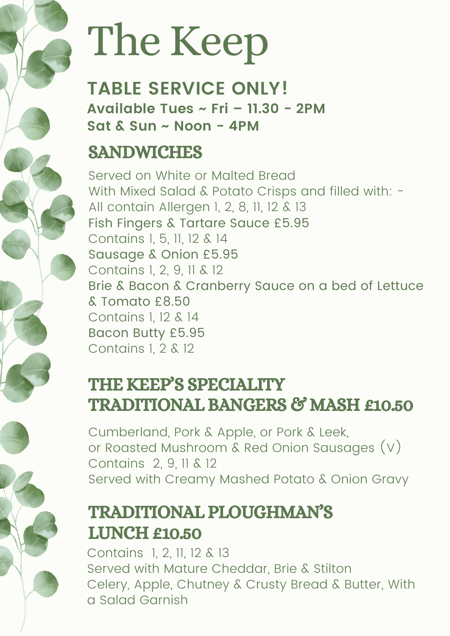# The Keep

**TABLE SERVICE ONLY! Available Tues ~ Fri – 11.30 - 2PM Sat & Sun ~ Noon - 4PM**

### SANDWICHES

Served on White or Malted Bread With Mixed Salad & Potato Crisps and filled with: -All contain Allergen 1, 2, 8, 11, 12 & 13 Fish Fingers & Tartare Sauce £5.95 Contains 1, 5, 11, 12 & 14 Sausage & Onion £5.95 Contains 1, 2, 9, 11 & 12 Brie & Bacon & Cranberry Sauce on a bed of Lettuce & Tomato £8.50 Contains 1, 12 & 14 Bacon Butty £5.95 Contains 1, 2 & 12

#### THE KEEP'S SPECIALITY TRADITIONAL BANGERS & MASH £10.50

Cumberland, Pork & Apple, or Pork & Leek, or Roasted Mushroom & Red Onion Sausages (V) Contains 2, 9, 11 & 12 Served with Creamy Mashed Potato & Onion Gravy

### TRADITIONAL PLOUGHMAN'S LUNCH £10.50

Contains 1, 2, 11, 12 & 13 Served with Mature Cheddar, Brie & Stilton Celery, Apple, Chutney & Crusty Bread & Butter, With a Salad Garnish